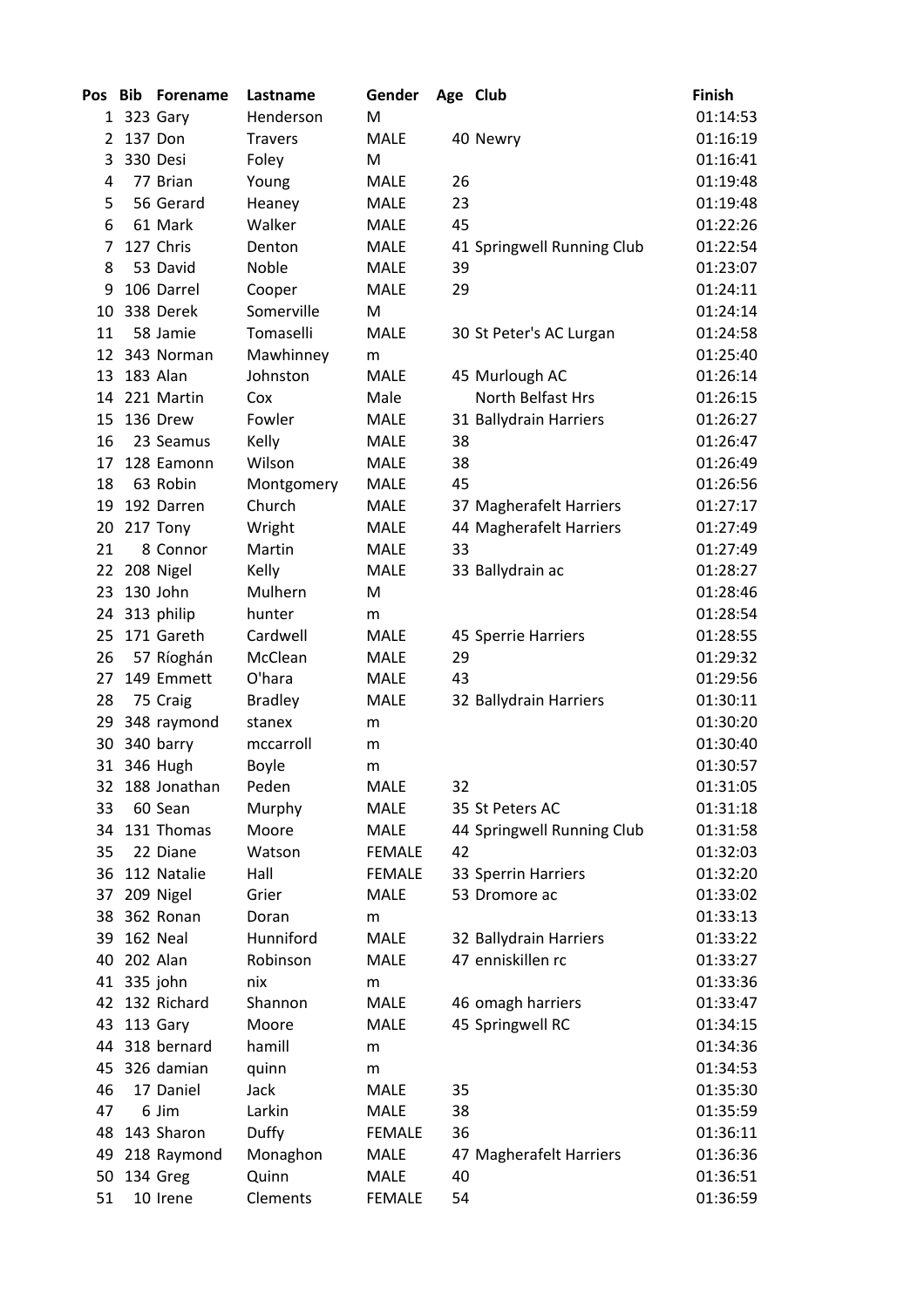| Pos Bib |             | <b>Forename</b> | Lastname       | Gender        | Age Club |                            | <b>Finish</b> |
|---------|-------------|-----------------|----------------|---------------|----------|----------------------------|---------------|
|         |             | 1 323 Gary      | Henderson      | M             |          |                            | 01:14:53      |
| 2       |             | 137 Don         | <b>Travers</b> | <b>MALE</b>   |          | 40 Newry                   | 01:16:19      |
| 3       |             | 330 Desi        | Foley          | M             |          |                            | 01:16:41      |
| 4       |             | 77 Brian        | Young          | <b>MALE</b>   | 26       |                            | 01:19:48      |
| 5       |             | 56 Gerard       | Heaney         | <b>MALE</b>   | 23       |                            | 01:19:48      |
| 6       |             | 61 Mark         | Walker         | <b>MALE</b>   | 45       |                            | 01:22:26      |
| 7       |             | 127 Chris       | Denton         | <b>MALE</b>   |          | 41 Springwell Running Club | 01:22:54      |
| 8       |             | 53 David        | Noble          | <b>MALE</b>   | 39       |                            | 01:23:07      |
| 9       |             | 106 Darrel      | Cooper         | <b>MALE</b>   | 29       |                            | 01:24:11      |
| 10      |             | 338 Derek       | Somerville     | M             |          |                            | 01:24:14      |
| 11      |             | 58 Jamie        | Tomaselli      | <b>MALE</b>   |          | 30 St Peter's AC Lurgan    | 01:24:58      |
|         |             | 12 343 Norman   | Mawhinney      | m             |          |                            | 01:25:40      |
| 13      |             | 183 Alan        | Johnston       | <b>MALE</b>   |          | 45 Murlough AC             | 01:26:14      |
| 14      |             | 221 Martin      | Cox            | Male          |          | North Belfast Hrs          | 01:26:15      |
| 15      |             | 136 Drew        | Fowler         | <b>MALE</b>   |          | 31 Ballydrain Harriers     | 01:26:27      |
| 16      |             | 23 Seamus       | Kelly          | <b>MALE</b>   | 38       |                            | 01:26:47      |
| 17      |             | 128 Eamonn      | Wilson         | <b>MALE</b>   | 38       |                            | 01:26:49      |
| 18      |             | 63 Robin        | Montgomery     | <b>MALE</b>   | 45       |                            | 01:26:56      |
| 19      |             | 192 Darren      | Church         | <b>MALE</b>   |          | 37 Magherafelt Harriers    | 01:27:17      |
| 20      |             | 217 Tony        | Wright         | MALE          |          | 44 Magherafelt Harriers    | 01:27:49      |
| 21      |             | 8 Connor        | Martin         | MALE          | 33       |                            | 01:27:49      |
| 22      |             | 208 Nigel       | Kelly          | <b>MALE</b>   |          | 33 Ballydrain ac           | 01:28:27      |
| 23      |             | 130 John        | Mulhern        | M             |          |                            | 01:28:46      |
| 24      |             | 313 philip      | hunter         | m             |          |                            | 01:28:54      |
| 25      |             | 171 Gareth      | Cardwell       | <b>MALE</b>   |          | 45 Sperrie Harriers        | 01:28:55      |
| 26      |             | 57 Ríoghán      | McClean        | <b>MALE</b>   | 29       |                            | 01:29:32      |
| 27      |             | 149 Emmett      | O'hara         | <b>MALE</b>   | 43       |                            | 01:29:56      |
| 28      |             | 75 Craig        | <b>Bradley</b> | <b>MALE</b>   |          | 32 Ballydrain Harriers     | 01:30:11      |
| 29      |             | 348 raymond     | stanex         | m             |          |                            | 01:30:20      |
| 30      |             | 340 barry       | mccarroll      | m             |          |                            | 01:30:40      |
|         |             | 31 346 Hugh     | <b>Boyle</b>   | m             |          |                            | 01:30:57      |
| 32      |             | 188 Jonathan    | Peden          | <b>MALE</b>   | 32       |                            | 01:31:05      |
| 33      |             | 60 Sean         | Murphy         | <b>MALE</b>   |          | 35 St Peters AC            | 01:31:18      |
| 34      |             | 131 Thomas      | Moore          | MALE          |          | 44 Springwell Running Club | 01:31:58      |
| 35      |             | 22 Diane        | Watson         | <b>FEMALE</b> | 42       |                            | 01:32:03      |
| 36      |             | 112 Natalie     | Hall           | <b>FEMALE</b> |          | 33 Sperrin Harriers        | 01:32:20      |
| 37      |             | 209 Nigel       | Grier          | <b>MALE</b>   |          | 53 Dromore ac              | 01:33:02      |
| 38      |             | 362 Ronan       | Doran          | m             |          |                            | 01:33:13      |
| 39      |             | 162 Neal        | Hunniford      | <b>MALE</b>   |          | 32 Ballydrain Harriers     | 01:33:22      |
| 40      |             | 202 Alan        | Robinson       | MALE          |          | 47 enniskillen rc          | 01:33:27      |
|         | 41 335 john |                 | nix            | m             |          |                            | 01:33:36      |
|         |             | 42 132 Richard  | Shannon        | <b>MALE</b>   |          | 46 omagh harriers          | 01:33:47      |
| 43      |             | 113 Gary        | Moore          | MALE          |          | 45 Springwell RC           | 01:34:15      |
| 44      |             | 318 bernard     | hamill         | m             |          |                            | 01:34:36      |
| 45      |             | 326 damian      | quinn          | m             |          |                            | 01:34:53      |
| 46      |             | 17 Daniel       | Jack           | MALE          | 35       |                            | 01:35:30      |
| 47      |             | 6 Jim           | Larkin         | <b>MALE</b>   | 38       |                            | 01:35:59      |
| 48      |             | 143 Sharon      | <b>Duffy</b>   | <b>FEMALE</b> | 36       |                            | 01:36:11      |
| 49      |             | 218 Raymond     | Monaghon       | MALE          |          | 47 Magherafelt Harriers    | 01:36:36      |
| 50      |             | 134 Greg        | Quinn          | <b>MALE</b>   | 40       |                            | 01:36:51      |
| 51      |             | 10 Irene        | Clements       | <b>FEMALE</b> | 54       |                            | 01:36:59      |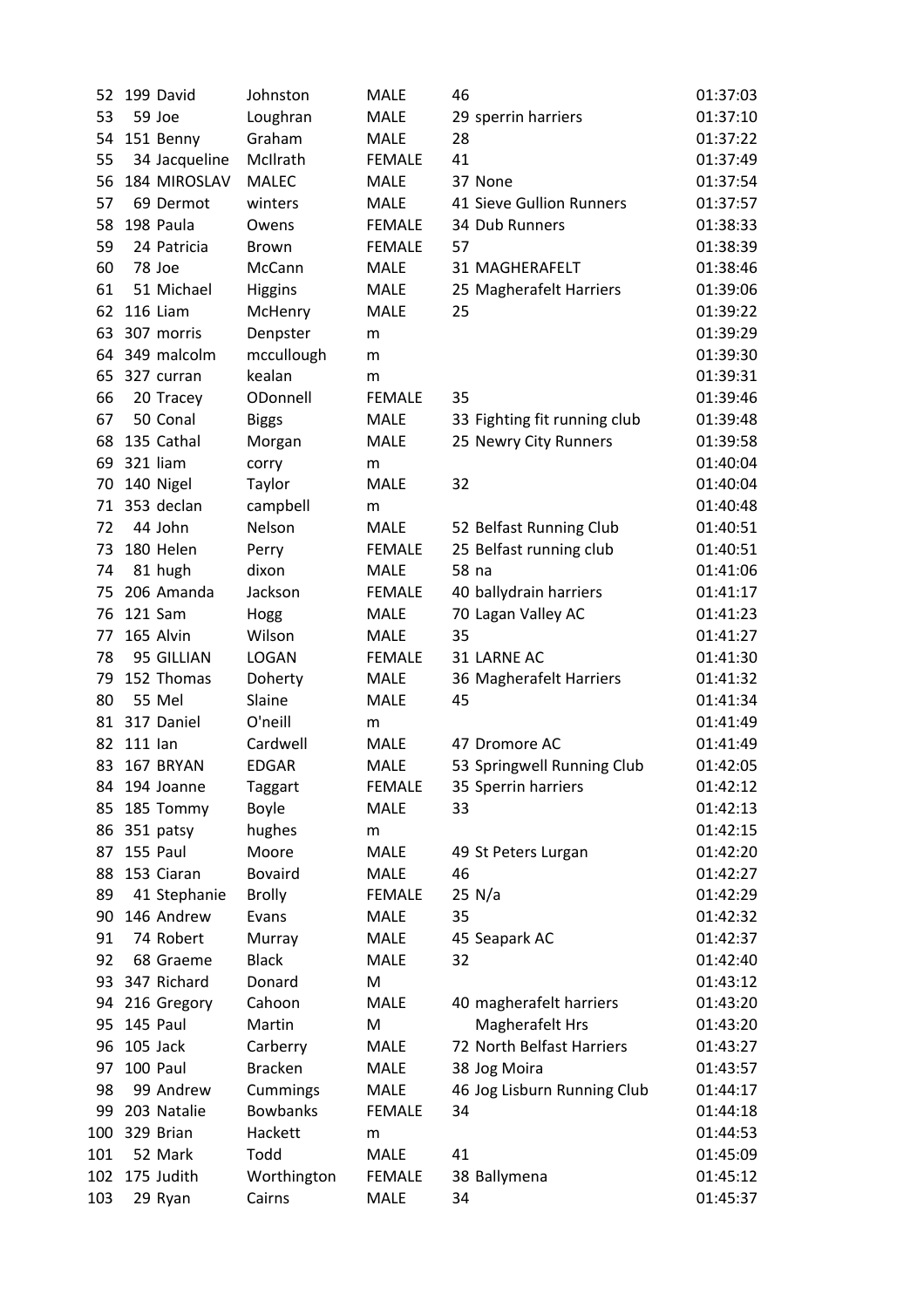| 52       | 199 David             | Johnston                      | <b>MALE</b>   | 46                           | 01:37:03             |
|----------|-----------------------|-------------------------------|---------------|------------------------------|----------------------|
| 53       | 59 Joe                | Loughran                      | <b>MALE</b>   | 29 sperrin harriers          | 01:37:10             |
| 54       | 151 Benny             | Graham                        | <b>MALE</b>   | 28                           | 01:37:22             |
| 55       | 34 Jacqueline         | McIlrath                      | <b>FEMALE</b> | 41                           | 01:37:49             |
| 56       | 184 MIROSLAV          | <b>MALEC</b>                  | <b>MALE</b>   | 37 None                      | 01:37:54             |
| 57       | 69 Dermot             | winters                       | <b>MALE</b>   | 41 Sieve Gullion Runners     | 01:37:57             |
|          | 198 Paula             |                               |               |                              |                      |
| 58       |                       | Owens                         | <b>FEMALE</b> | 34 Dub Runners<br>57         | 01:38:33             |
| 59<br>60 | 24 Patricia<br>78 Joe | <b>Brown</b><br><b>McCann</b> | <b>FEMALE</b> | 31 MAGHERAFELT               | 01:38:39<br>01:38:46 |
|          |                       |                               | <b>MALE</b>   |                              |                      |
| 61       | 51 Michael            | <b>Higgins</b>                | <b>MALE</b>   | 25 Magherafelt Harriers      | 01:39:06             |
| 62       | 116 Liam              | McHenry                       | <b>MALE</b>   | 25                           | 01:39:22             |
| 63       | 307 morris            | Denpster                      | m             |                              | 01:39:29             |
| 64       | 349 malcolm           | mccullough                    | m             |                              | 01:39:30             |
| 65       | 327 curran            | kealan                        | m             |                              | 01:39:31             |
| 66       | 20 Tracey             | ODonnell                      | <b>FEMALE</b> | 35                           | 01:39:46             |
| 67       | 50 Conal              | <b>Biggs</b>                  | <b>MALE</b>   | 33 Fighting fit running club | 01:39:48             |
| 68       | 135 Cathal            | Morgan                        | <b>MALE</b>   | 25 Newry City Runners        | 01:39:58             |
| 69       | 321 liam              | corry                         | m             |                              | 01:40:04             |
| 70       | 140 Nigel             | Taylor                        | <b>MALE</b>   | 32                           | 01:40:04             |
| 71       | 353 declan            | campbell                      | m             |                              | 01:40:48             |
| 72       | 44 John               | Nelson                        | <b>MALE</b>   | 52 Belfast Running Club      | 01:40:51             |
| 73       | 180 Helen             | Perry                         | <b>FEMALE</b> | 25 Belfast running club      | 01:40:51             |
| 74       | 81 hugh               | dixon                         | <b>MALE</b>   | 58 na                        | 01:41:06             |
| 75       | 206 Amanda            | Jackson                       | <b>FEMALE</b> | 40 ballydrain harriers       | 01:41:17             |
| 76       | 121 Sam               | Hogg                          | <b>MALE</b>   | 70 Lagan Valley AC           | 01:41:23             |
| 77       | 165 Alvin             | Wilson                        | <b>MALE</b>   | 35                           | 01:41:27             |
| 78       | 95 GILLIAN            | <b>LOGAN</b>                  | <b>FEMALE</b> | 31 LARNE AC                  | 01:41:30             |
| 79       | 152 Thomas            | Doherty                       | <b>MALE</b>   | 36 Magherafelt Harriers      | 01:41:32             |
| 80       | 55 Mel                | Slaine                        | <b>MALE</b>   | 45                           | 01:41:34             |
| 81       | 317 Daniel            | O'neill                       | m             |                              | 01:41:49             |
| 82       | 111 lan               | Cardwell                      | <b>MALE</b>   | 47 Dromore AC                | 01:41:49             |
| 83       | 167 BRYAN             | <b>EDGAR</b>                  | <b>MALE</b>   | 53 Springwell Running Club   | 01:42:05             |
| 84       | 194 Joanne            | Taggart                       | <b>FEMALE</b> | 35 Sperrin harriers          | 01:42:12             |
| 85       | 185 Tommy             | Boyle                         | <b>MALE</b>   | 33                           | 01:42:13             |
| 86       | 351 patsy             | hughes                        | m             |                              | 01:42:15             |
| 87       | 155 Paul              | Moore                         | <b>MALE</b>   | 49 St Peters Lurgan          | 01:42:20             |
| 88       | 153 Ciaran            | <b>Bovaird</b>                | MALE          | 46                           | 01:42:27             |
| 89       | 41 Stephanie          | <b>Brolly</b>                 | <b>FEMALE</b> | 25 N/a                       | 01:42:29             |
| 90       | 146 Andrew            | Evans                         | <b>MALE</b>   | 35                           | 01:42:32             |
| 91       | 74 Robert             | Murray                        | <b>MALE</b>   | 45 Seapark AC                | 01:42:37             |
| 92       | 68 Graeme             | <b>Black</b>                  | <b>MALE</b>   | 32                           | 01:42:40             |
|          | 93 347 Richard        | Donard                        | M             |                              | 01:43:12             |
| 94       | 216 Gregory           | Cahoon                        | <b>MALE</b>   | 40 magherafelt harriers      | 01:43:20             |
| 95       | 145 Paul              | Martin                        | M             | Magherafelt Hrs              | 01:43:20             |
| 96       | 105 Jack              | Carberry                      | <b>MALE</b>   | 72 North Belfast Harriers    | 01:43:27             |
| 97       | 100 Paul              | <b>Bracken</b>                | <b>MALE</b>   | 38 Jog Moira                 | 01:43:57             |
| 98       | 99 Andrew             | Cummings                      | <b>MALE</b>   | 46 Jog Lisburn Running Club  | 01:44:17             |
| 99       | 203 Natalie           | <b>Bowbanks</b>               | <b>FEMALE</b> | 34                           | 01:44:18             |
| 100      | 329 Brian             | Hackett                       | m             |                              | 01:44:53             |
| 101      | 52 Mark               | Todd                          | <b>MALE</b>   | 41                           | 01:45:09             |
| 102      | 175 Judith            | Worthington                   | <b>FEMALE</b> | 38 Ballymena                 | 01:45:12             |
| 103      | 29 Ryan               | Cairns                        | <b>MALE</b>   | 34                           | 01:45:37             |
|          |                       |                               |               |                              |                      |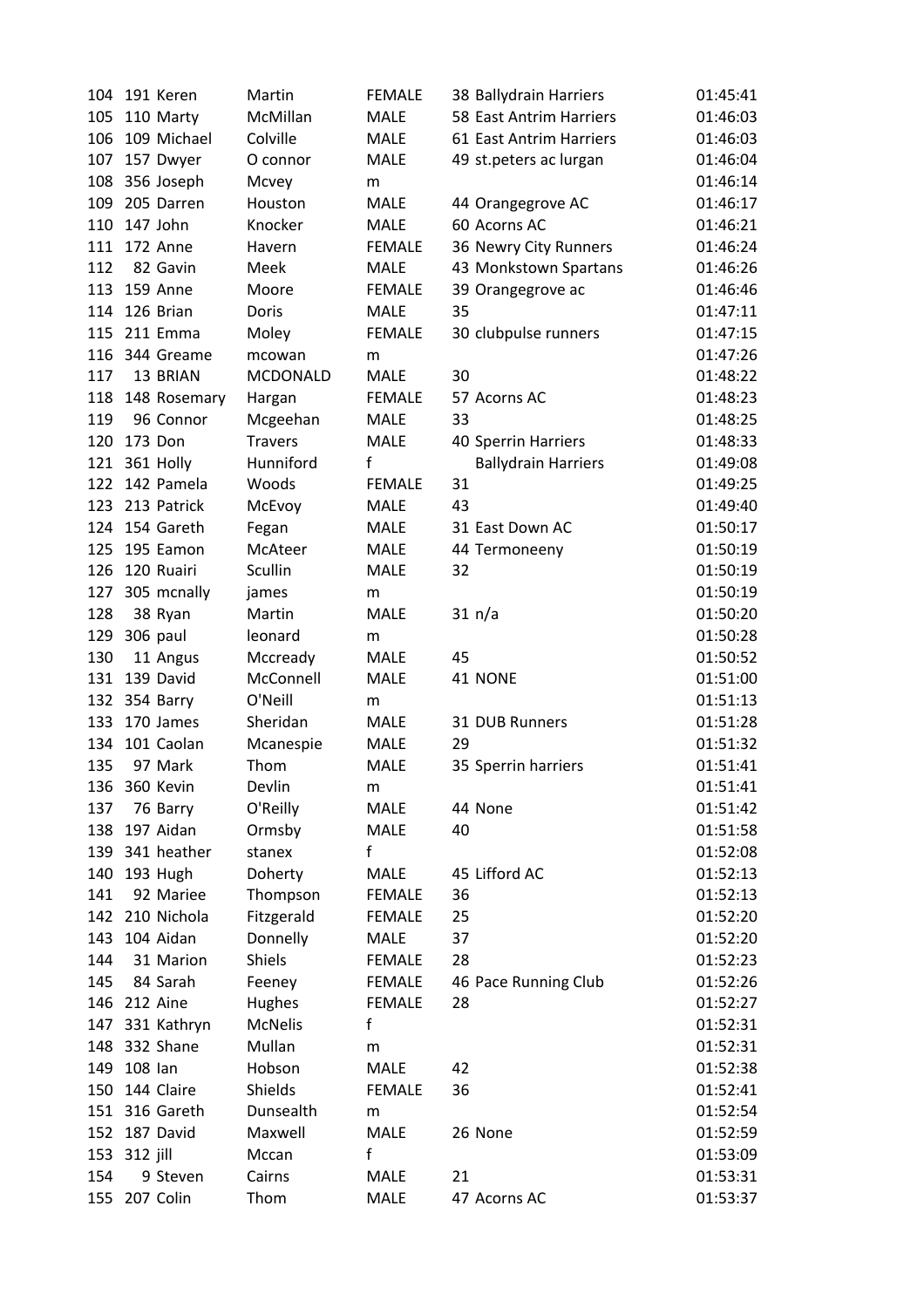| 104 | 191 Keren       | Martin          | <b>FEMALE</b> | 38 Ballydrain Harriers     | 01:45:41 |
|-----|-----------------|-----------------|---------------|----------------------------|----------|
| 105 | 110 Marty       | McMillan        | <b>MALE</b>   | 58 East Antrim Harriers    | 01:46:03 |
| 106 | 109 Michael     | Colville        | <b>MALE</b>   | 61 East Antrim Harriers    | 01:46:03 |
| 107 | 157 Dwyer       | O connor        | <b>MALE</b>   | 49 st.peters ac lurgan     | 01:46:04 |
| 108 | 356 Joseph      | Mcvey           | m             |                            | 01:46:14 |
| 109 | 205 Darren      | Houston         | <b>MALE</b>   | 44 Orangegrove AC          | 01:46:17 |
| 110 | 147 John        | Knocker         | <b>MALE</b>   | 60 Acorns AC               | 01:46:21 |
|     | 111 172 Anne    | Havern          | <b>FEMALE</b> | 36 Newry City Runners      | 01:46:24 |
| 112 | 82 Gavin        | Meek            | <b>MALE</b>   | 43 Monkstown Spartans      | 01:46:26 |
| 113 | 159 Anne        | Moore           | <b>FEMALE</b> | 39 Orangegrove ac          | 01:46:46 |
| 114 | 126 Brian       | Doris           | <b>MALE</b>   | 35                         | 01:47:11 |
| 115 | 211 Emma        | Moley           | <b>FEMALE</b> | 30 clubpulse runners       | 01:47:15 |
| 116 | 344 Greame      | mcowan          | m             |                            | 01:47:26 |
| 117 | 13 BRIAN        | <b>MCDONALD</b> | <b>MALE</b>   | 30                         | 01:48:22 |
| 118 | 148 Rosemary    | Hargan          | <b>FEMALE</b> | 57 Acorns AC               | 01:48:23 |
| 119 | 96 Connor       | Mcgeehan        | <b>MALE</b>   | 33                         | 01:48:25 |
| 120 | 173 Don         | <b>Travers</b>  | <b>MALE</b>   | 40 Sperrin Harriers        | 01:48:33 |
|     | 121 361 Holly   | Hunniford       | f             | <b>Ballydrain Harriers</b> | 01:49:08 |
|     | 122 142 Pamela  | Woods           | <b>FEMALE</b> | 31                         | 01:49:25 |
|     | 123 213 Patrick | McEvoy          | <b>MALE</b>   | 43                         | 01:49:40 |
|     | 124 154 Gareth  | Fegan           | <b>MALE</b>   | 31 East Down AC            | 01:50:17 |
| 125 | 195 Eamon       | McAteer         | <b>MALE</b>   | 44 Termoneeny              | 01:50:19 |
| 126 | 120 Ruairi      | Scullin         | <b>MALE</b>   | 32                         | 01:50:19 |
| 127 | 305 mcnally     | james           | m             |                            | 01:50:19 |
| 128 | 38 Ryan         | Martin          | <b>MALE</b>   | 31 n/a                     | 01:50:20 |
| 129 | 306 paul        | leonard         | m             |                            | 01:50:28 |
| 130 | 11 Angus        | Mccready        | MALE          | 45                         | 01:50:52 |
| 131 | 139 David       | McConnell       | <b>MALE</b>   | 41 NONE                    | 01:51:00 |
| 132 | 354 Barry       | O'Neill         | m             |                            | 01:51:13 |
| 133 | 170 James       | Sheridan        | MALE          | 31 DUB Runners             | 01:51:28 |
| 134 | 101 Caolan      | Mcanespie       | MALE          | 29                         | 01:51:32 |
| 135 | 97 Mark         | Thom            | MALE          | 35 Sperrin harriers        | 01:51:41 |
| 136 | 360 Kevin       | Devlin          | m             |                            | 01:51:41 |
| 137 | 76 Barry        | O'Reilly        | MALE          | 44 None                    | 01:51:42 |
| 138 | 197 Aidan       | Ormsby          | <b>MALE</b>   | 40                         | 01:51:58 |
|     | 139 341 heather | stanex          | f             |                            | 01:52:08 |
| 140 | 193 Hugh        | Doherty         | MALE          | 45 Lifford AC              | 01:52:13 |
| 141 | 92 Mariee       | Thompson        | <b>FEMALE</b> | 36                         | 01:52:13 |
| 142 | 210 Nichola     | Fitzgerald      | <b>FEMALE</b> | 25                         | 01:52:20 |
| 143 | 104 Aidan       | Donnelly        | <b>MALE</b>   | 37                         | 01:52:20 |
| 144 | 31 Marion       | Shiels          | <b>FEMALE</b> | 28                         | 01:52:23 |
| 145 | 84 Sarah        | Feeney          | <b>FEMALE</b> | 46 Pace Running Club       | 01:52:26 |
|     | 146 212 Aine    | Hughes          | <b>FEMALE</b> | 28                         | 01:52:27 |
|     | 147 331 Kathryn | <b>McNelis</b>  | f             |                            | 01:52:31 |
| 148 | 332 Shane       | Mullan          | m             |                            | 01:52:31 |
| 149 | 108 lan         | Hobson          | <b>MALE</b>   | 42                         | 01:52:38 |
| 150 | 144 Claire      | Shields         | <b>FEMALE</b> | 36                         | 01:52:41 |
|     | 151 316 Gareth  | Dunsealth       | m             |                            | 01:52:54 |
|     | 152 187 David   | Maxwell         | <b>MALE</b>   | 26 None                    | 01:52:59 |
| 153 | 312 jill        | Mccan           | f             |                            | 01:53:09 |
| 154 | 9 Steven        | Cairns          | <b>MALE</b>   | 21                         | 01:53:31 |
| 155 | 207 Colin       | Thom            | <b>MALE</b>   | 47 Acorns AC               | 01:53:37 |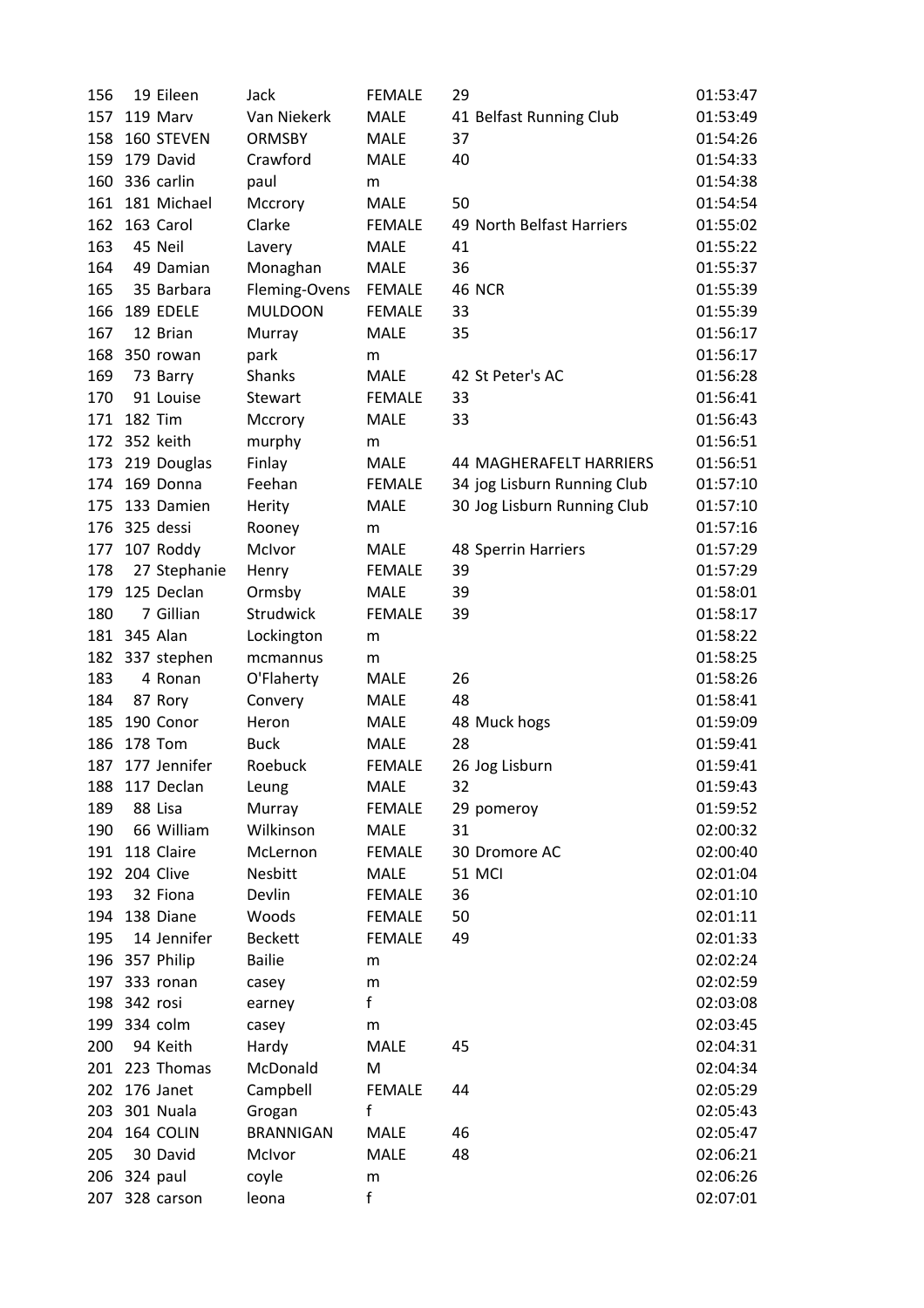| 156 |              | 19 Eileen      | Jack             | <b>FEMALE</b> | 29                             | 01:53:47 |
|-----|--------------|----------------|------------------|---------------|--------------------------------|----------|
| 157 |              | 119 Marv       | Van Niekerk      | <b>MALE</b>   | 41 Belfast Running Club        | 01:53:49 |
| 158 |              | 160 STEVEN     | <b>ORMSBY</b>    | <b>MALE</b>   | 37                             | 01:54:26 |
| 159 |              | 179 David      | Crawford         | <b>MALE</b>   | 40                             | 01:54:33 |
| 160 |              | 336 carlin     | paul             | m             |                                | 01:54:38 |
| 161 |              | 181 Michael    | Mccrory          | <b>MALE</b>   | 50                             | 01:54:54 |
| 162 |              | 163 Carol      | Clarke           | <b>FEMALE</b> | 49 North Belfast Harriers      | 01:55:02 |
| 163 |              | 45 Neil        | Lavery           | <b>MALE</b>   | 41                             | 01:55:22 |
| 164 |              | 49 Damian      | Monaghan         | <b>MALE</b>   | 36                             | 01:55:37 |
| 165 |              | 35 Barbara     | Fleming-Ovens    | <b>FEMALE</b> | <b>46 NCR</b>                  | 01:55:39 |
| 166 |              | 189 EDELE      | <b>MULDOON</b>   | <b>FEMALE</b> | 33                             | 01:55:39 |
| 167 |              | 12 Brian       | Murray           | <b>MALE</b>   | 35                             | 01:56:17 |
| 168 |              | 350 rowan      | park             | m             |                                | 01:56:17 |
| 169 |              | 73 Barry       | Shanks           | <b>MALE</b>   | 42 St Peter's AC               | 01:56:28 |
| 170 |              | 91 Louise      | Stewart          | <b>FEMALE</b> | 33                             | 01:56:41 |
| 171 |              | <b>182 Tim</b> | Mccrory          | <b>MALE</b>   | 33                             | 01:56:43 |
| 172 |              | 352 keith      | murphy           | m             |                                | 01:56:51 |
| 173 |              | 219 Douglas    | Finlay           | <b>MALE</b>   | <b>44 MAGHERAFELT HARRIERS</b> | 01:56:51 |
| 174 |              | 169 Donna      | Feehan           | <b>FEMALE</b> | 34 jog Lisburn Running Club    | 01:57:10 |
| 175 |              | 133 Damien     | Herity           | <b>MALE</b>   | 30 Jog Lisburn Running Club    | 01:57:10 |
| 176 |              | 325 dessi      | Rooney           | m             |                                | 01:57:16 |
| 177 |              | 107 Roddy      | McIvor           | <b>MALE</b>   | 48 Sperrin Harriers            | 01:57:29 |
| 178 |              | 27 Stephanie   | Henry            | <b>FEMALE</b> | 39                             | 01:57:29 |
| 179 |              | 125 Declan     | Ormsby           | <b>MALE</b>   | 39                             | 01:58:01 |
| 180 |              | 7 Gillian      | Strudwick        | <b>FEMALE</b> | 39                             | 01:58:17 |
| 181 |              | 345 Alan       | Lockington       | m             |                                | 01:58:22 |
| 182 |              | 337 stephen    | mcmannus         | m             |                                | 01:58:25 |
| 183 |              | 4 Ronan        | O'Flaherty       | <b>MALE</b>   | 26                             | 01:58:26 |
| 184 |              | 87 Rory        | Convery          | <b>MALE</b>   | 48                             | 01:58:41 |
| 185 |              | 190 Conor      | Heron            | <b>MALE</b>   | 48 Muck hogs                   | 01:59:09 |
| 186 |              | <b>178 Tom</b> | <b>Buck</b>      | <b>MALE</b>   | 28                             | 01:59:41 |
| 187 |              | 177 Jennifer   | Roebuck          | <b>FEMALE</b> | 26 Jog Lisburn                 | 01:59:41 |
| 188 |              | 117 Declan     | Leung            | <b>MALE</b>   | 32                             | 01:59:43 |
| 189 |              | 88 Lisa        | Murray           | <b>FEMALE</b> | 29 pomeroy                     | 01:59:52 |
| 190 |              | 66 William     | Wilkinson        | <b>MALE</b>   | 31                             | 02:00:32 |
| 191 |              | 118 Claire     | McLernon         | <b>FEMALE</b> | 30 Dromore AC                  | 02:00:40 |
|     |              | 192 204 Clive  | Nesbitt          | <b>MALE</b>   | 51 MCI                         | 02:01:04 |
| 193 |              | 32 Fiona       | Devlin           | <b>FEMALE</b> | 36                             | 02:01:10 |
| 194 |              | 138 Diane      | Woods            | <b>FEMALE</b> | 50                             | 02:01:11 |
| 195 |              | 14 Jennifer    | <b>Beckett</b>   | <b>FEMALE</b> | 49                             | 02:01:33 |
|     |              | 196 357 Philip | <b>Bailie</b>    | m             |                                | 02:02:24 |
|     |              | 197 333 ronan  | casey            | m             |                                | 02:02:59 |
|     | 198 342 rosi |                | earney           | f             |                                | 02:03:08 |
|     |              | 199 334 colm   | casey            | m             |                                | 02:03:45 |
| 200 |              | 94 Keith       | Hardy            | <b>MALE</b>   | 45                             | 02:04:31 |
|     |              | 201 223 Thomas | McDonald         | M             |                                | 02:04:34 |
|     |              | 202 176 Janet  | Campbell         | <b>FEMALE</b> | 44                             | 02:05:29 |
|     |              | 203 301 Nuala  | Grogan           | f             |                                | 02:05:43 |
| 204 |              | 164 COLIN      | <b>BRANNIGAN</b> | <b>MALE</b>   | 46                             | 02:05:47 |
| 205 |              | 30 David       | McIvor           | <b>MALE</b>   | 48                             | 02:06:21 |
| 206 |              | 324 paul       | coyle            | m             |                                | 02:06:26 |
|     |              | 207 328 carson | leona            | f             |                                | 02:07:01 |